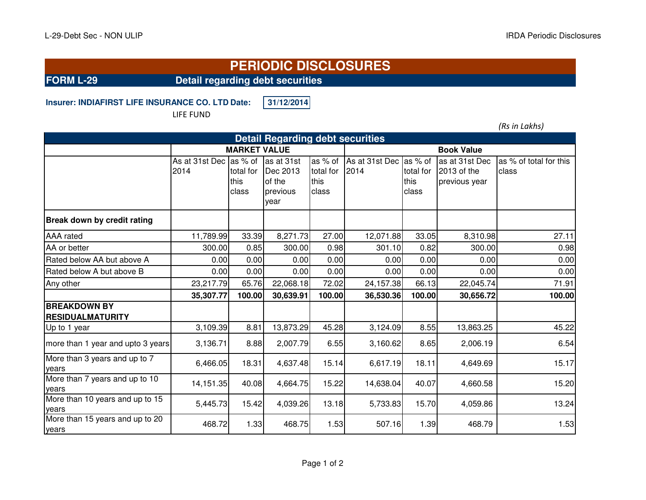## **PERIODIC DISCLOSURES**

**FORM L-29 Detail regarding debt securities**

**Insurer: INDIAFIRST LIFE INSURANCE CO. LTD.Date: 31/12/2014**

LIFE FUND

*(Rs in Lakhs)*

| <b>Detail Regarding debt securities</b>        |                                 |                            |                                                      |                                       |                        |                                       |                                                |                                 |  |  |  |
|------------------------------------------------|---------------------------------|----------------------------|------------------------------------------------------|---------------------------------------|------------------------|---------------------------------------|------------------------------------------------|---------------------------------|--|--|--|
|                                                | <b>MARKET VALUE</b>             |                            |                                                      |                                       | <b>Book Value</b>      |                                       |                                                |                                 |  |  |  |
|                                                | As at 31st Dec las % of<br>2014 | total for<br>this<br>class | as at 31st<br>Dec 2013<br>of the<br>previous<br>year | as % of<br>total for<br>this<br>class | As at 31st Dec<br>2014 | as % of<br>total for<br>this<br>class | as at 31st Dec<br>2013 of the<br>previous year | as % of total for this<br>class |  |  |  |
| Break down by credit rating                    |                                 |                            |                                                      |                                       |                        |                                       |                                                |                                 |  |  |  |
| <b>AAA</b> rated                               | 11,789.99                       | 33.39                      | 8,271.73                                             | 27.00                                 | 12,071.88              | 33.05                                 | 8,310.98                                       | 27.11                           |  |  |  |
| AA or better                                   | 300.00                          | 0.85                       | 300.00                                               | 0.98                                  | 301.10                 | 0.82                                  | 300.00                                         | 0.98                            |  |  |  |
| Rated below AA but above A                     | 0.00                            | 0.00                       | 0.00                                                 | 0.00                                  | 0.00                   | 0.00                                  | 0.00                                           | 0.00                            |  |  |  |
| Rated below A but above B                      | 0.00                            | 0.00                       | 0.00                                                 | 0.00                                  | 0.00                   | 0.00                                  | 0.00                                           | 0.00                            |  |  |  |
| Any other                                      | 23,217.79                       | 65.76                      | 22,068.18                                            | 72.02                                 | 24,157.38              | 66.13                                 | 22,045.74                                      | 71.91                           |  |  |  |
|                                                | 35,307.77                       | 100.00                     | 30,639.91                                            | 100.00                                | 36,530.36              | 100.00                                | 30,656.72                                      | 100.00                          |  |  |  |
| <b>BREAKDOWN BY</b><br><b>RESIDUALMATURITY</b> |                                 |                            |                                                      |                                       |                        |                                       |                                                |                                 |  |  |  |
| Up to 1 year                                   | 3,109.39                        | 8.81                       | 13,873.29                                            | 45.28                                 | 3,124.09               | 8.55                                  | 13,863.25                                      | 45.22                           |  |  |  |
| more than 1 year and upto 3 years              | 3,136.71                        | 8.88                       | 2,007.79                                             | 6.55                                  | 3,160.62               | 8.65                                  | 2,006.19                                       | 6.54                            |  |  |  |
| More than 3 years and up to 7<br>years         | 6,466.05                        | 18.31                      | 4,637.48                                             | 15.14                                 | 6,617.19               | 18.11                                 | 4,649.69                                       | 15.17                           |  |  |  |
| More than 7 years and up to 10<br>years        | 14,151.35                       | 40.08                      | 4,664.75                                             | 15.22                                 | 14,638.04              | 40.07                                 | 4,660.58                                       | 15.20                           |  |  |  |
| More than 10 years and up to 15<br>years       | 5,445.73                        | 15.42                      | 4,039.26                                             | 13.18                                 | 5,733.83               | 15.70                                 | 4,059.86                                       | 13.24                           |  |  |  |
| More than 15 years and up to 20<br>years       | 468.72                          | 1.33                       | 468.75                                               | 1.53                                  | 507.16                 | 1.39                                  | 468.79                                         | 1.53                            |  |  |  |